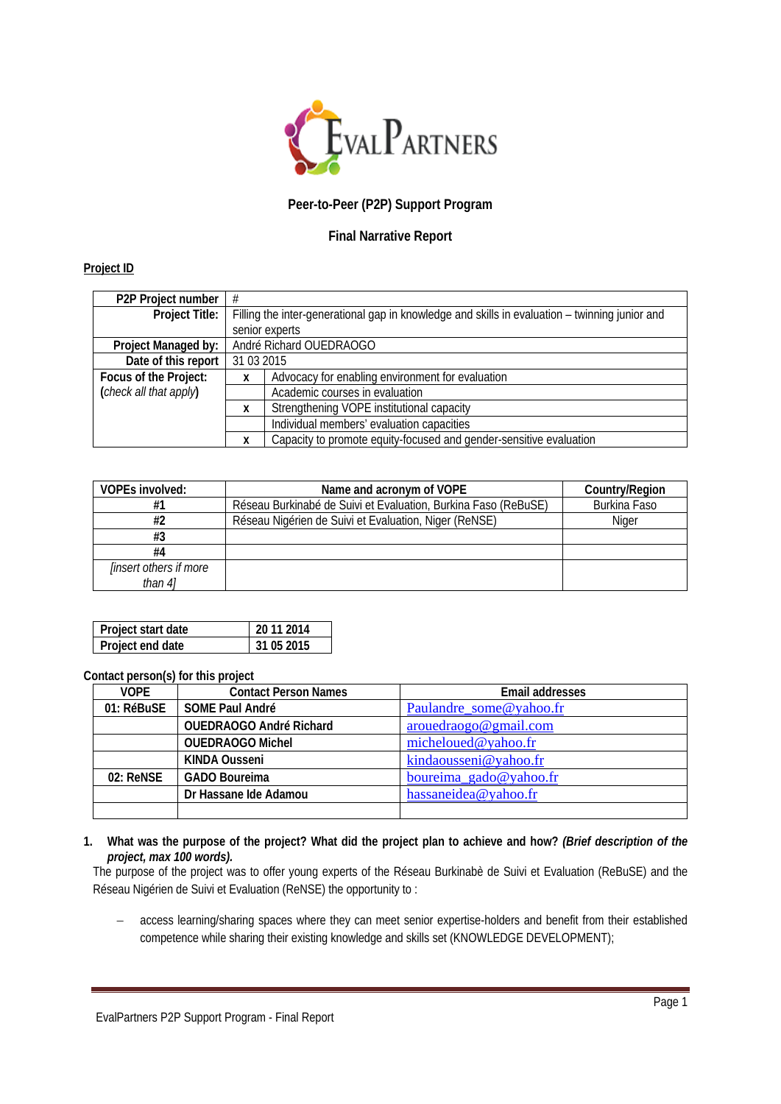

# **Peer-to-Peer (P2P) Support Program**

## **Final Narrative Report**

### **Project ID**

| P2P Project number     | #                                                                                              |                                                                    |  |
|------------------------|------------------------------------------------------------------------------------------------|--------------------------------------------------------------------|--|
| Project Title:         | Filling the inter-generational gap in knowledge and skills in evaluation – twinning junior and |                                                                    |  |
|                        | senior experts                                                                                 |                                                                    |  |
| Project Managed by:    | André Richard OUEDRAOGO                                                                        |                                                                    |  |
| Date of this report    | 31 03 2015                                                                                     |                                                                    |  |
| Focus of the Project:  | Advocacy for enabling environment for evaluation<br>x                                          |                                                                    |  |
| (check all that apply) | Academic courses in evaluation                                                                 |                                                                    |  |
|                        | Strengthening VOPE institutional capacity<br>X                                                 |                                                                    |  |
|                        |                                                                                                | Individual members' evaluation capacities                          |  |
|                        | χ                                                                                              | Capacity to promote equity-focused and gender-sensitive evaluation |  |

| <b>VOPEs involved:</b>        | Name and acronym of VOPE                                       | Country/Region |
|-------------------------------|----------------------------------------------------------------|----------------|
| #1                            | Réseau Burkinabé de Suivi et Evaluation, Burkina Faso (ReBuSE) | Burkina Faso   |
| #2                            | Réseau Nigérien de Suivi et Evaluation, Niger (ReNSE)          | Niger          |
| #3                            |                                                                |                |
| #4                            |                                                                |                |
| <i>linsert others if more</i> |                                                                |                |
| than 41                       |                                                                |                |

| Project start date | 20 11 2014 |
|--------------------|------------|
| Project end date   | 31 05 2015 |

**Contact person(s) for this project**

| <b>VOPE</b> | <b>Contact Person Names</b>    | <b>Email addresses</b>  |
|-------------|--------------------------------|-------------------------|
| 01: RéBuSE  | SOME Paul André                | Paulandre_some@yahoo.fr |
|             | <b>OUEDRAOGO André Richard</b> | arouedraogo@gmail.com   |
|             | <b>OUEDRAOGO Michel</b>        | micheloued@yahoo.fr     |
|             | <b>KINDA Ousseni</b>           | kindaousseni@yahoo.fr   |
| 02: ReNSE   | <b>GADO Boureima</b>           | boureima_gado@yahoo.fr  |
|             | Dr Hassane Ide Adamou          | hassaneidea@yahoo.fr    |
|             |                                |                         |

#### **1. What was the purpose of the project? What did the project plan to achieve and how?** *(Brief description of the project, max 100 words).*

The purpose of the project was to offer young experts of the Réseau Burkinabè de Suivi et Evaluation (ReBuSE) and the Réseau Nigérien de Suivi et Evaluation (ReNSE) the opportunity to :

− access learning/sharing spaces where they can meet senior expertise-holders and benefit from their established competence while sharing their existing knowledge and skills set (KNOWLEDGE DEVELOPMENT);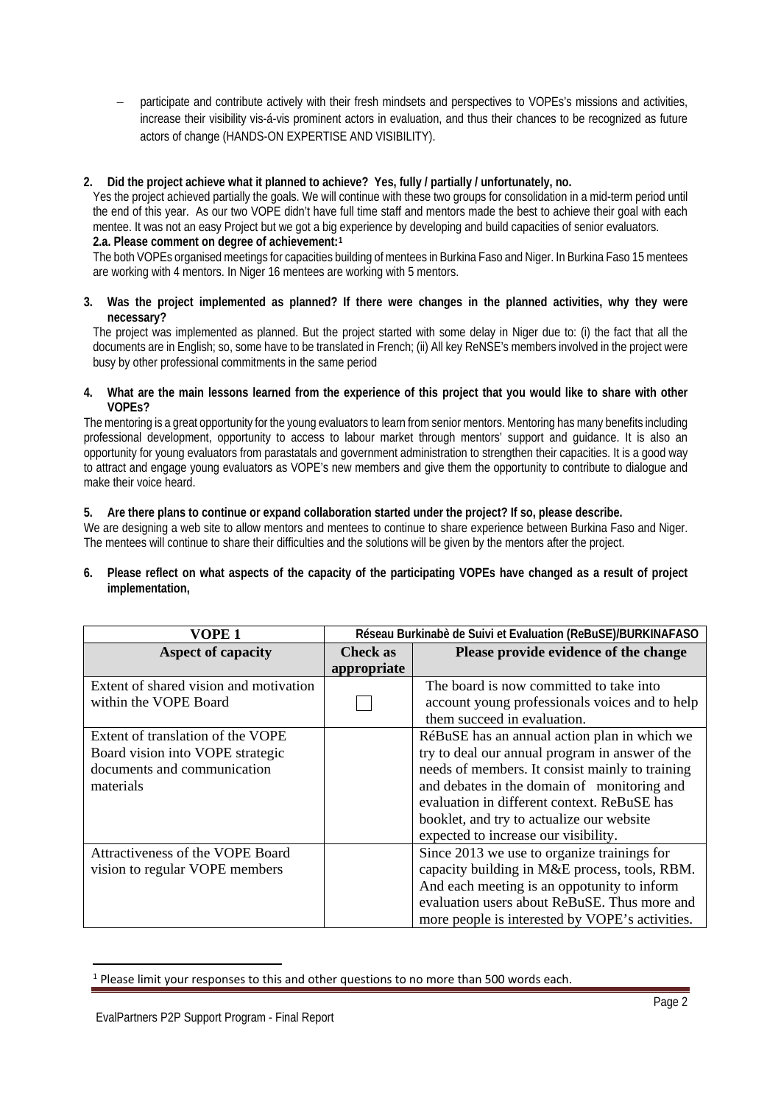participate and contribute actively with their fresh mindsets and perspectives to VOPEs's missions and activities, increase their visibility vis-á-vis prominent actors in evaluation, and thus their chances to be recognized as future actors of change (HANDS-ON EXPERTISE AND VISIBILITY).

## **2. Did the project achieve what it planned to achieve? Yes, fully / partially / unfortunately, no.**

Yes the project achieved partially the goals. We will continue with these two groups for consolidation in a mid-term period until the end of this year. As our two VOPE didn't have full time staff and mentors made the best to achieve their goal with each mentee. It was not an easy Project but we got a big experience by developing and build capacities of senior evaluators. **2.a. Please comment on degree of achievement:[1](#page-1-0)**

The both VOPEs organised meetings for capacities building of mentees in Burkina Faso and Niger. In Burkina Faso 15 mentees are working with 4 mentors. In Niger 16 mentees are working with 5 mentors.

#### **3. Was the project implemented as planned? If there were changes in the planned activities, why they were necessary?**

The project was implemented as planned. But the project started with some delay in Niger due to: (i) the fact that all the documents are in English; so, some have to be translated in French; (ii) All key ReNSE's members involved in the project were busy by other professional commitments in the same period

#### **4. What are the main lessons learned from the experience of this project that you would like to share with other VOPEs?**

The mentoring is a great opportunity for the young evaluators to learn from senior mentors. Mentoring has many benefits including professional development, opportunity to access to labour market through mentors' support and guidance. It is also an opportunity for young evaluators from parastatals and government administration to strengthen their capacities. It is a good way to attract and engage young evaluators as VOPE's new members and give them the opportunity to contribute to dialogue and make their voice heard.

## **5. Are there plans to continue or expand collaboration started under the project? If so, please describe.**

We are designing a web site to allow mentors and mentees to continue to share experience between Burkina Faso and Niger. The mentees will continue to share their difficulties and the solutions will be given by the mentors after the project.

**6. Please reflect on what aspects of the capacity of the participating VOPEs have changed as a result of project implementation,**

| VOPE 1                                 | Réseau Burkinabè de Suivi et Evaluation (ReBuSE)/BURKINAFASO |                                                 |
|----------------------------------------|--------------------------------------------------------------|-------------------------------------------------|
| <b>Aspect of capacity</b>              | Check as                                                     | Please provide evidence of the change           |
|                                        | appropriate                                                  |                                                 |
| Extent of shared vision and motivation |                                                              | The board is now committed to take into         |
| within the VOPE Board                  |                                                              | account young professionals voices and to help  |
|                                        |                                                              | them succeed in evaluation.                     |
| Extent of translation of the VOPE      |                                                              | RéBuSE has an annual action plan in which we    |
| Board vision into VOPE strategic       |                                                              | try to deal our annual program in answer of the |
| documents and communication            |                                                              | needs of members. It consist mainly to training |
| materials                              |                                                              | and debates in the domain of monitoring and     |
|                                        |                                                              | evaluation in different context. ReBuSE has     |
|                                        |                                                              | booklet, and try to actualize our website       |
|                                        |                                                              | expected to increase our visibility.            |
| Attractiveness of the VOPE Board       |                                                              | Since 2013 we use to organize trainings for     |
| vision to regular VOPE members         |                                                              | capacity building in M&E process, tools, RBM.   |
|                                        |                                                              | And each meeting is an oppotunity to inform     |
|                                        |                                                              | evaluation users about ReBuSE. Thus more and    |
|                                        |                                                              | more people is interested by VOPE's activities. |

<span id="page-1-0"></span><sup>&</sup>lt;sup>1</sup> Please limit your responses to this and other questions to no more than 500 words each.

 $\overline{\phantom{a}}$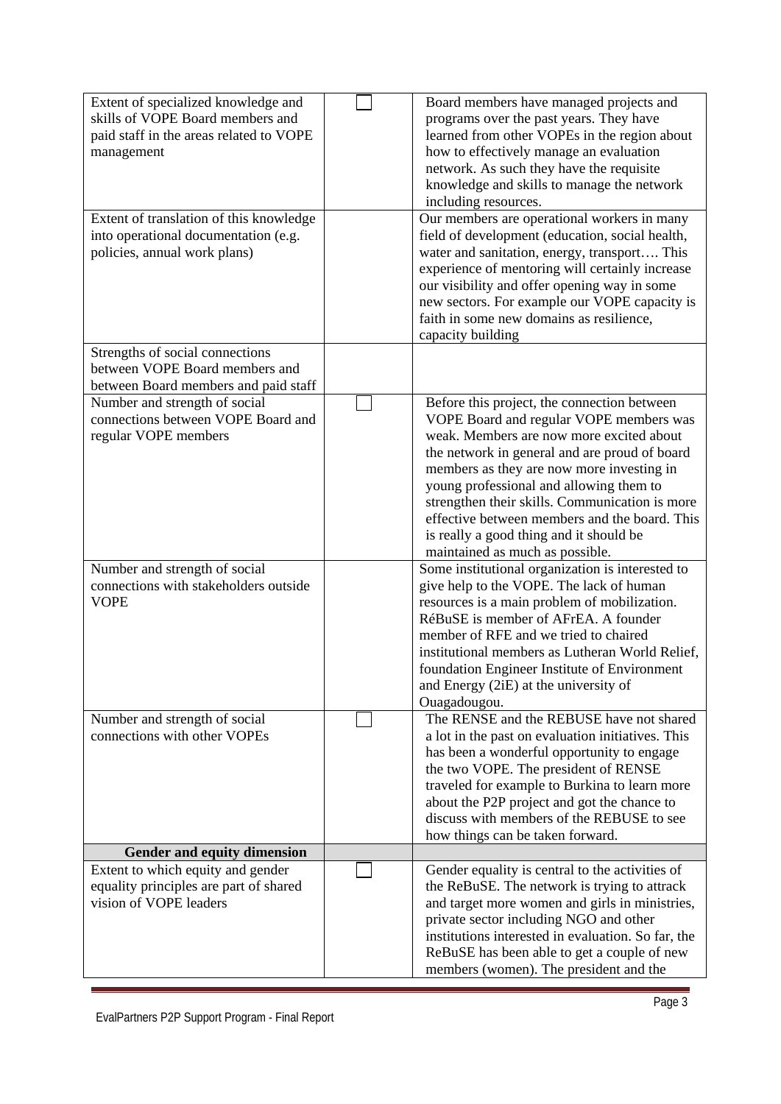| Extent of specialized knowledge and<br>skills of VOPE Board members and<br>paid staff in the areas related to VOPE<br>management<br>Extent of translation of this knowledge<br>into operational documentation (e.g.<br>policies, annual work plans) | Board members have managed projects and<br>programs over the past years. They have<br>learned from other VOPEs in the region about<br>how to effectively manage an evaluation<br>network. As such they have the requisite<br>knowledge and skills to manage the network<br>including resources.<br>Our members are operational workers in many<br>field of development (education, social health,<br>water and sanitation, energy, transport This<br>experience of mentoring will certainly increase<br>our visibility and offer opening way in some<br>new sectors. For example our VOPE capacity is<br>faith in some new domains as resilience,<br>capacity building |
|-----------------------------------------------------------------------------------------------------------------------------------------------------------------------------------------------------------------------------------------------------|------------------------------------------------------------------------------------------------------------------------------------------------------------------------------------------------------------------------------------------------------------------------------------------------------------------------------------------------------------------------------------------------------------------------------------------------------------------------------------------------------------------------------------------------------------------------------------------------------------------------------------------------------------------------|
| Strengths of social connections<br>between VOPE Board members and<br>between Board members and paid staff                                                                                                                                           |                                                                                                                                                                                                                                                                                                                                                                                                                                                                                                                                                                                                                                                                        |
| Number and strength of social<br>connections between VOPE Board and<br>regular VOPE members                                                                                                                                                         | Before this project, the connection between<br>VOPE Board and regular VOPE members was<br>weak. Members are now more excited about<br>the network in general and are proud of board<br>members as they are now more investing in<br>young professional and allowing them to<br>strengthen their skills. Communication is more<br>effective between members and the board. This<br>is really a good thing and it should be<br>maintained as much as possible.                                                                                                                                                                                                           |
| Number and strength of social<br>connections with stakeholders outside<br><b>VOPE</b>                                                                                                                                                               | Some institutional organization is interested to<br>give help to the VOPE. The lack of human<br>resources is a main problem of mobilization.<br>RéBuSE is member of AFrEA. A founder<br>member of RFE and we tried to chaired<br>institutional members as Lutheran World Relief,<br>foundation Engineer Institute of Environment<br>and Energy (2iE) at the university of<br>Ouagadougou.                                                                                                                                                                                                                                                                              |
| Number and strength of social<br>connections with other VOPEs                                                                                                                                                                                       | The RENSE and the REBUSE have not shared<br>a lot in the past on evaluation initiatives. This<br>has been a wonderful opportunity to engage<br>the two VOPE. The president of RENSE<br>traveled for example to Burkina to learn more<br>about the P2P project and got the chance to<br>discuss with members of the REBUSE to see<br>how things can be taken forward.                                                                                                                                                                                                                                                                                                   |
| Gender and equity dimension                                                                                                                                                                                                                         |                                                                                                                                                                                                                                                                                                                                                                                                                                                                                                                                                                                                                                                                        |
| Extent to which equity and gender<br>equality principles are part of shared<br>vision of VOPE leaders                                                                                                                                               | Gender equality is central to the activities of<br>the ReBuSE. The network is trying to attrack<br>and target more women and girls in ministries,<br>private sector including NGO and other<br>institutions interested in evaluation. So far, the<br>ReBuSE has been able to get a couple of new<br>members (women). The president and the                                                                                                                                                                                                                                                                                                                             |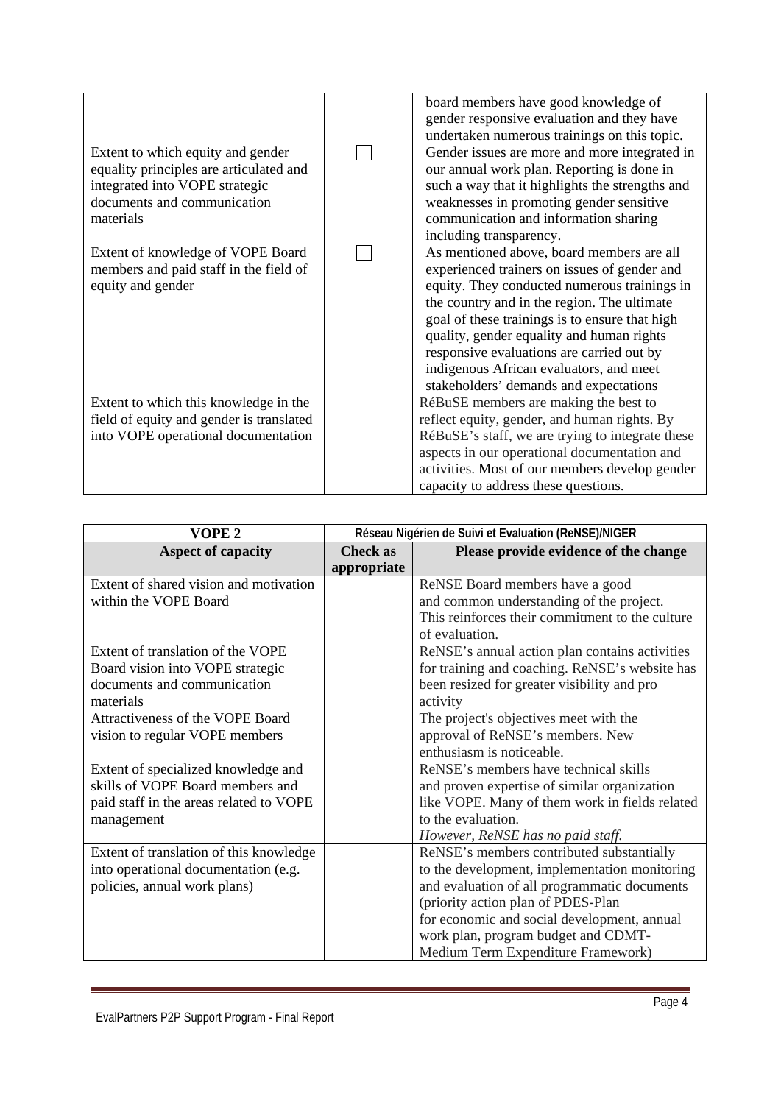|                                          | board members have good knowledge of             |
|------------------------------------------|--------------------------------------------------|
|                                          |                                                  |
|                                          | gender responsive evaluation and they have       |
|                                          | undertaken numerous trainings on this topic.     |
| Extent to which equity and gender        | Gender issues are more and more integrated in    |
| equality principles are articulated and  | our annual work plan. Reporting is done in       |
| integrated into VOPE strategic           | such a way that it highlights the strengths and  |
| documents and communication              | weaknesses in promoting gender sensitive         |
| materials                                | communication and information sharing            |
|                                          | including transparency.                          |
| Extent of knowledge of VOPE Board        | As mentioned above, board members are all        |
| members and paid staff in the field of   | experienced trainers on issues of gender and     |
| equity and gender                        | equity. They conducted numerous trainings in     |
|                                          | the country and in the region. The ultimate      |
|                                          | goal of these trainings is to ensure that high   |
|                                          | quality, gender equality and human rights        |
|                                          | responsive evaluations are carried out by        |
|                                          | indigenous African evaluators, and meet          |
|                                          | stakeholders' demands and expectations           |
| Extent to which this knowledge in the    | RéBuSE members are making the best to            |
| field of equity and gender is translated | reflect equity, gender, and human rights. By     |
| into VOPE operational documentation      | RéBuSE's staff, we are trying to integrate these |
|                                          | aspects in our operational documentation and     |
|                                          | activities. Most of our members develop gender   |
|                                          | capacity to address these questions.             |

| VOPE <sub>2</sub>                       | Réseau Nigérien de Suivi et Evaluation (ReNSE)/NIGER |                                                 |
|-----------------------------------------|------------------------------------------------------|-------------------------------------------------|
| <b>Aspect of capacity</b>               | <b>Check</b> as                                      | Please provide evidence of the change           |
|                                         | appropriate                                          |                                                 |
| Extent of shared vision and motivation  |                                                      | ReNSE Board members have a good                 |
| within the VOPE Board                   |                                                      | and common understanding of the project.        |
|                                         |                                                      | This reinforces their commitment to the culture |
|                                         |                                                      | of evaluation.                                  |
| Extent of translation of the VOPE       |                                                      | ReNSE's annual action plan contains activities  |
| Board vision into VOPE strategic        |                                                      | for training and coaching. ReNSE's website has  |
| documents and communication             |                                                      | been resized for greater visibility and pro     |
| materials                               |                                                      | activity                                        |
| Attractiveness of the VOPE Board        |                                                      | The project's objectives meet with the          |
| vision to regular VOPE members          |                                                      | approval of ReNSE's members. New                |
|                                         |                                                      | enthusiasm is noticeable.                       |
| Extent of specialized knowledge and     |                                                      | ReNSE's members have technical skills           |
| skills of VOPE Board members and        |                                                      | and proven expertise of similar organization    |
| paid staff in the areas related to VOPE |                                                      | like VOPE. Many of them work in fields related  |
| management                              |                                                      | to the evaluation.                              |
|                                         |                                                      | However, ReNSE has no paid staff.               |
| Extent of translation of this knowledge |                                                      | ReNSE's members contributed substantially       |
| into operational documentation (e.g.    |                                                      | to the development, implementation monitoring   |
| policies, annual work plans)            |                                                      | and evaluation of all programmatic documents    |
|                                         |                                                      | (priority action plan of PDES-Plan              |
|                                         |                                                      | for economic and social development, annual     |
|                                         |                                                      | work plan, program budget and CDMT-             |
|                                         |                                                      | Medium Term Expenditure Framework)              |